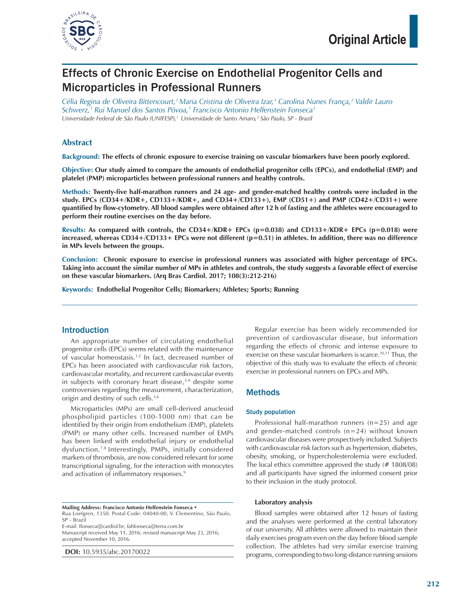

# Effects of Chronic Exercise on Endothelial Progenitor Cells and Microparticles in Professional Runners

*Célia Regina de Oliveira Bittencourt,1 Maria Cristina de Oliveira Izar,1 Carolina Nunes França,2 Valdir Lauro Schwerz,1 Rui Manuel dos Santos Póvoa,1 Francisco Antonio Helfenstein Fonseca1 Universidade Federal de São Paulo (UNIFESP),1 Universidade de Santo Amaro,2 São Paulo, SP - Brazil*

## **Abstract**

**Background: The effects of chronic exposure to exercise training on vascular biomarkers have been poorly explored.** 

**Objective: Our study aimed to compare the amounts of endothelial progenitor cells (EPCs), and endothelial (EMP) and platelet (PMP) microparticles between professional runners and healthy controls.**

**Methods: Twenty-five half-marathon runners and 24 age- and gender-matched healthy controls were included in the study. EPCs (CD34+/KDR+, CD133+/KDR+, and CD34+/CD133+), EMP (CD51+) and PMP (CD42+/CD31+) were quantified by flow-cytometry. All blood samples were obtained after 12 h of fasting and the athletes were encouraged to perform their routine exercises on the day before.** 

**Results: As compared with controls, the CD34+/KDR+ EPCs (p=0.038) and CD133+/KDR+ EPCs (p=0.018) were**  increased, whereas CD34+/CD133+ EPCs were not different (p=0.51) in athletes. In addition, there was no difference **in MPs levels between the groups.**

**Conclusion: Chronic exposure to exercise in professional runners was associated with higher percentage of EPCs. Taking into account the similar number of MPs in athletes and controls, the study suggests a favorable effect of exercise on these vascular biomarkers. (Arq Bras Cardiol. 2017; 108(3):212-216)**

**Keywords: Endothelial Progenitor Cells; Biomarkers; Athletes; Sports; Running**

## Introduction

An appropriate number of circulating endothelial progenitor cells (EPCs) seems related with the maintenance of vascular homeostasis.<sup>1,2</sup> In fact, decreased number of EPCs has been associated with cardiovascular risk factors, cardiovascular mortality, and recurrent cardiovascular events in subjects with coronary heart disease, $3,4$  despite some controversies regarding the measurement, characterization, origin and destiny of such cells.<sup>5,6</sup>

Microparticles (MPs) are small cell-derived anucleoid phospholipid particles (100-1000 nm) that can be identified by their origin from endothelium (EMP), platelets (PMP) or many other cells. Increased number of EMPs has been linked with endothelial injury or endothelial dysfunction.7,8 Interestingly, PMPs, initially considered markers of thrombosis, are now considered relevant for some transcriptional signaling, for the interaction with monocytes and activation of inflammatory responses.<sup>9</sup>

**Mailing Address: Francisco Antonio Helfenstein Fonseca •** Rua Loefgren, 1350. Postal Code: 04040-00, V. Clementino, São Paulo, SP - Brazil E-mail: ffonseca@cardiol.br; fahfonseca@terra.com.br

Manuscript received May 11, 2016; revised manuscript May 23, 2016; accepted November 10, 2016.

**DOI:** 10.5935/abc.20170022

Regular exercise has been widely recommended for prevention of cardiovascular disease, but information regarding the effects of chronic and intense exposure to exercise on these vascular biomarkers is scarce.<sup>10,11</sup> Thus, the objective of this study was to evaluate the effects of chronic exercise in professional runners on EPCs and MPs.

## Methods

#### Study population

Professional half-marathon runners (n=25) and age and gender-matched controls (n=24) without known cardiovascular diseases were prospectively included. Subjects with cardiovascular risk factors such as hypertension, diabetes, obesity, smoking, or hypercholesterolemia were excluded. The local ethics committee approved the study (# 1808/08) and all participants have signed the informed consent prior to their inclusion in the study protocol.

#### **Laboratory analysis**

Blood samples were obtained after 12 hours of fasting and the analyses were performed at the central laboratory of our university. All athletes were allowed to maintain their daily exercises program even on the day before blood sample collection. The athletes had very similar exercise training programs, corresponding to two long-distance running sessions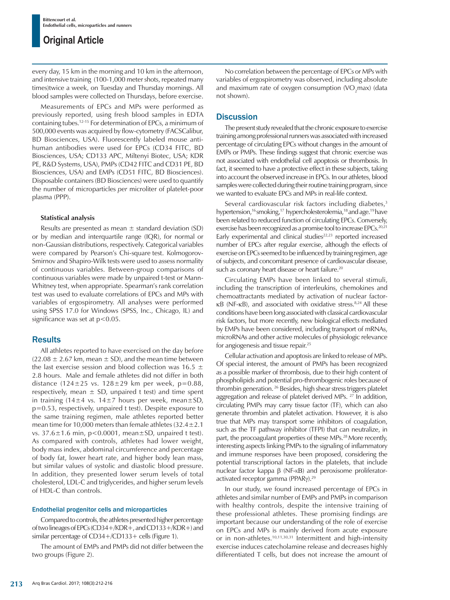every day, 15 km in the morning and 10 km in the afternoon, and intensive training (100-1,000 meter shots, repeated many times)twice a week, on Tuesday and Thursday mornings. All blood samples were collected on Thursdays, before exercise.

Measurements of EPCs and MPs were performed as previously reported, using fresh blood samples in EDTA containing tubes.12-15 For determination of EPCs, a minimum of 500,000 events was acquired by flow-cytometry (FACSCalibur, BD Biosciences, USA). Fluorescently labeled mouse antihuman antibodies were used for EPCs (CD34 FITC, BD Biosciences, USA; CD133 APC, Miltenyi Biotec, USA; KDR PE, R&D Systems, USA), PMPs (CD42 FITC and CD31 PE, BD Biosciences, USA) and EMPs (CD51 FITC, BD Biosciences). Disposable containers (BD Biosciences) were used to quantify the number of microparticles *per* microliter of platelet-poor plasma (PPP).

#### **Statistical analysis**

Results are presented as mean  $\pm$  standard deviation (SD) or by median and interquartile range (IQR), for normal or non-Gaussian distributions, respectively. Categorical variables were compared by Pearson's Chi-square test. Kolmogorov-Smirnov and Shapiro-Wilk tests were used to assess normality of continuous variables. Between-group comparisons of continuous variables were made by unpaired t-test or Mann-Whitney test, when appropriate. Spearman's rank correlation test was used to evaluate correlations of EPCs and MPs with variables of ergospirometry. All analyses were performed using SPSS 17.0 for Windows (SPSS, Inc., Chicago, IL) and significance was set at  $p < 0.05$ .

## **Results**

All athletes reported to have exercised on the day before  $(22.08 \pm 2.67 \text{ km})$ , mean  $\pm$  SD), and the mean time between the last exercise session and blood collection was 16.5  $\pm$ 2.8 hours. Male and female athletes did not differ in both distance (124 $\pm$ 25 vs. 128 $\pm$ 29 km per week, p=0.88, respectively, mean  $\pm$  SD, unpaired t test) and time spent in training (14±4 vs. 14±7 hours per week, mean±SD, p=0.53, respectively, unpaired t test). Despite exposure to the same training regimen, male athletes reported better mean time for 10,000 meters than female athletes  $(32.4 \pm 2.1)$ vs.  $37.6 \pm 1.6$  min,  $p < 0.0001$ , mean $\pm SD$ , unpaired t test). As compared with controls, athletes had lower weight, body mass index, abdominal circumference and percentage of body fat, lower heart rate, and higher body lean mass, but similar values of systolic and diastolic blood pressure. In addition, they presented lower serum levels of total cholesterol, LDL-C and triglycerides, and higher serum levels of HDL-C than controls.

#### Endothelial progenitor cells and microparticles

Compared to controls, the athletes presented higher percentage of two lineages of EPCs (CD34+/KDR+, and CD133+/KDR+) and similar percentage of CD34+/CD133+ cells (Figure 1).

The amount of EMPs and PMPs did not differ between the two groups (Figure 2).

No correlation between the percentage of EPCs or MPs with variables of ergospirometry was observed, including absolute and maximum rate of oxygen consumption  $(VO_2$ max) (data not shown).

#### **Discussion**

The present study revealed that the chronic exposure to exercise training among professional runners was associated with increased percentage of circulating EPCs without changes in the amount of EMPs or PMPs. These findings suggest that chronic exercise was not associated with endothelial cell apoptosis or thrombosis. In fact, it seemed to have a protective effect in these subjects, taking into account the observed increase in EPCs. In our athletes, blood samples were collected during their routine training program, since we wanted to evaluate EPCs and MPs in real-life context.

Several cardiovascular risk factors including diabetes,<sup>3</sup> hypertension,<sup>16</sup> smoking,<sup>17</sup> hypercholesterolemia,<sup>18</sup> and age.<sup>19</sup> have been related to reduced function of circulating EPCs. Conversely, exercise has been recognized as a promise tool to increase EPCs. 20,21 Early experimental and clinical studies<sup>22,23</sup> reported increased number of EPCs after regular exercise, although the effects of exercise on EPCs seemed to be influenced by training regimen, age of subjects, and concomitant presence of cardiovascular disease, such as coronary heart disease or heart failure.<sup>20</sup>

Circulating EMPs have been linked to several stimuli, including the transcription of interleukins, chemokines and chemoattractants mediated by activation of nuclear factor $κB$  (NF- $κB$ ), and associated with oxidative stress.<sup>8,24</sup> All these conditions have been long associated with classical cardiovascular risk factors, but more recently, new biological effects mediated by EMPs have been considered, including transport of mRNAs, microRNAs and other active molecules of physiologic relevance for angiogenesis and tissue repair.25

Cellular activation and apoptosis are linked to release of MPs. Of special interest, the amount of PMPs has been recognized as a possible marker of thrombosis, due to their high content of phospholipids and potential pro-thrombogenic roles because of thrombin generation. 26 Besides, high shear stress triggers platelet aggregation and release of platelet derived MPs. 27 In addition, circulating PMPs may carry tissue factor (TF), which can also generate thrombin and platelet activation. However, it is also true that MPs may transport some inhibitors of coagulation, such as the TF pathway inhibitor (TFPI) that can neutralize, in part, the procoagulant properties of these MPs.<sup>28</sup> More recently, interesting aspects linking PMPs to the signaling of inflammatory and immune responses have been proposed, considering the potential transcriptional factors in the platelets, that include nuclear factor kappa β (NF-kΒ) and peroxisome proliferatoractivated receptor gamma (PPARγ).29

In our study, we found increased percentage of EPCs in athletes and similar number of EMPs and PMPs in comparison with healthy controls, despite the intensive training of these professional athletes. These promising findings are important because our understanding of the role of exercise on EPCs and MPs is mainly derived from acute exposure or in non-athletes.10,11,30,31 Intermittent and high-intensity exercise induces catecholamine release and decreases highly differentiated T cells, but does not increase the amount of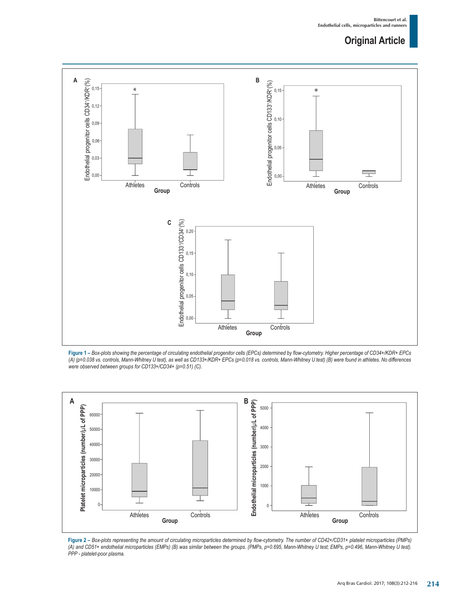

**Figure 1 –** *Box-plots showing the percentage of circulating endothelial progenitor cells (EPCs) determined by flow-cytometry. Higher percentage of CD34+/KDR+ EPCs (A) (p=0.038 vs. controls, Mann-Whitney U test), as well as CD133+/KDR+ EPCs (p=0.018 vs. controls, Mann-Whitney U test) (B) were found in athletes. No differences were observed between groups for CD133+/CD34+ (p=0.51) (C).*



**Figure 2 –** *Box-plots representing the amount of circulating microparticles determined by flow-cytometry. The number of CD42+/CD31+ platelet microparticles (PMPs) (A) and CD51+ endothelial microparticles (EMPs) (B) was similar between the groups. (PMPs, p=0.695, Mann-Whitney U test; EMPs, p=0.496, Mann-Whitney U test). PPP - platelet-poor plasma.*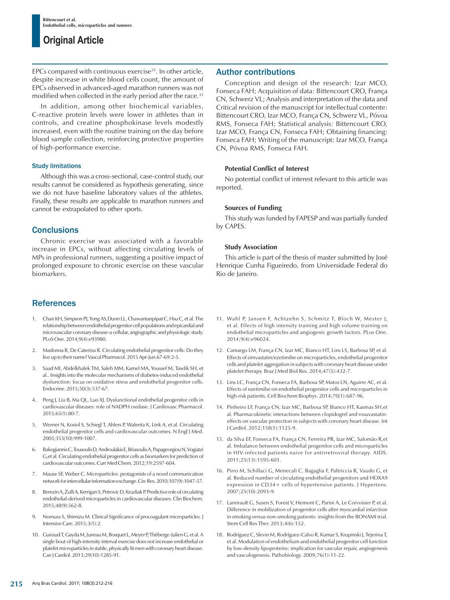EPCs compared with continuous exercise<sup>33</sup>. In other article, despite increase in white blood cells count, the amount of EPCs observed in advanced-aged marathon runners was not modified when collected in the early period after the race.<sup>33</sup>

In addition, among other biochemical variables, C-reactive protein levels were lower in athletes than in controls, and creatine phosphokinase levels modestly increased, even with the routine training on the day before blood sample collection, reinforcing protective properties of high-performance exercise.

#### Study limitations

Although this was a cross-sectional, case-control study, our results cannot be considered as hypothesis generating, since we do not have baseline laboratory values of the athletes. Finally, these results are applicable to marathon runners and cannot be extrapolated to other sports.

## **Conclusions**

Chronic exercise was associated with a favorable increase in EPCs, without affecting circulating levels of MPs in professional runners, suggesting a positive impact of prolonged exposure to chronic exercise on these vascular biomarkers.

## References

- 1. Chan KH, Simpson PJ, Yong AS,Dunn LL, Chawantanpipat C, Hsu C, et al. The relationship between endothelial progenitor cell populations and epicardial and microvascular coronary disease-a cellular, angiographic and physiologic study. PLoS One. 2014;9(4):e93980.
- 2. Madonna R, De Caterina R. Circulating endothelial progenitor cells: Do they live up to their name? Vascul Pharmacol. 2015 Apr-Jun.67-69:2-5.
- 3. Saad MI, Abdelkhalek TM, Saleh MM, Kamel MA, Youssef M, Tawfik SH, et al.. Insights into the molecular mechanisms of diabetes-induced endothelial dysfunction: focus on oxidative stress and endothelial progenitor cells. Endocrine. 2015;50(3):537-67.
- 4. Peng J, Liu B, Ma QL, Luo XJ. Dysfunctional endothelial progenitor cells in cardiovascular diseases: role of NADPH oxidase. J Cardiovasc Pharmacol. 2015;65(1):80-7.
- 5. Werner N, Kosiol S, Schiegl T, Ahlers P, Walenta K, Link A, et al. Circulating endothelial progenitor cells and cardiovascular outcomes. N Engl J Med. 2005;353(10):999-1007.
- 6. Bakogiannis C, Tousoulis D, Androulakis E, Briasoulis A, Papageorgiou N, Vogiatzi G,et al. Circulating endothelial progenitor cells as biomarkers for prediction of cardiovascular outcomes. Curr Med Chem. 2012;19:2597-604.
- 7. Mause SF, Weber C. Microparticles: protagonists of a novel communication network for intercellular information exchange. Circ Res. 2010;107(9):1047-57.
- 8. Berezin A, Zulli A, Kerrigan S, Petrovic D, Kruzliak P. Predictive role of circulating endothelial-derived microparticles in cardiovascular diseases. Clin Biochem. 2015;48(9):562-8.
- 9. Nomura S, Shimizu M. Clinical Significance of procoagulant microparticles. J Intensive Care. 2015;3(1):2.
- 10. Guiraud T, Gayda M, Juneau M, Bosquet L, Meyer P, Théberge-Julien G, et al. A single bout of high-intensity interval exercise does not increase endothelial or platelet microparticles in stable, physically fit men with coronary heart disease. Can J Cardiol. 2013;29(10):1285-91.

## Author contributions

Conception and design of the research: Izar MCO, Fonseca FAH; Acquisition of data: Bittencourt CRO, França CN, Schwerz VL; Analysis and interpretation of the data and Critical revision of the manuscript for intellectual contente: Bittencourt CRO, Izar MCO, França CN, Schwerz VL, Póvoa RMS, Fonseca FAH; Statistical analysis: Bittencourt CRO, Izar MCO, França CN, Fonseca FAH; Obtaining financing: Fonseca FAH; Writing of the manuscript: Izar MCO, França CN, Póvoa RMS, Fonseca FAH.

#### **Potential Conflict of Interest**

No potential conflict of interest relevant to this article was reported.

#### **Sources of Funding**

This study was funded by FAPESP and was partially funded by CAPES.

#### **Study Association**

This article is part of the thesis of master submitted by José Henrique Cunha Figueiredo, from Universidade Federal do Rio de Janeiro.

- 11. Wahl P, Jansen F, Achtzehn S, Schmitz T, Bloch W, Mester J, et al. Effects of high intensity training and high volume training on endothelial microparticles and angiogenic growth factors. PLos One. 2014;9(4):e96024.
- 12. Camargo LM, França CN, Izar MC, Bianco HT, Lins LS, Barbosa SP, et al. Effects of simvastatin/ezetimibe on microparticles, endothelial progenitor cells and platelet aggregation in subjects with coronary heart disease under platelet therapy. Braz J Med Biol Res. 2014;47(5):432-7.
- 13. Lins LC, França CN, Fonseca FA, Barbosa SP, Matos LN, Aguirre AC, et al. Effects of ezetimibe on endothelial progenitor cells and microparticles in high-risk patients. Cell Biochem Biophys. 2014;70(1):687-96.
- 14. Pinheiro LF, França CN, Izar MC, Barbosa SP, Bianco HT, Kasmas SH,et al. Pharmacokinetic interactions between clopidogrel and rosuvastatin: effects on vascular protection in subjects with coronary heart disease. Int J Cardiol. 2012;158(1):1125-9.
- 15. da Silva EF, Fonseca FA, França CN, Ferreira PR, Izar MC, Salomão R,et al. Imbalance between endothelial progenitor cells and microparticles in HIV-infected patients naive for antirretroviral therapy. AIDS. 2011;25(13):1595-601.
- 16. Pirro M, Schillaci G, Menecali C, Bagaglia F, Paltriccia R, Vaudo G, et al. Reduced number of circulating endothelial progenitors and HOXA9 expression in CD34+ cells of hypertensive patients. J Hypertens. 2007;25(10):2093-9.
- 17. Lamirault G, Susen S, Forest V, Hemont C, Parini A, Le Corvoisier P, et al. Difference in mobilization of progenitor cells after myocardial infarction in smoking versus non-smoking patients: insights from the BONAMI trial. Stem Cell Res Ther. 2013;4(6):152.
- 18. Rodríguez C, Slevin M, Rodríguez-Calvo R, Kumar S, Krupinski J, Tejerina T, et al. Modulation of endothelium and endothelial progenitor cell function by low-density lipoproteins: implication for vascular repair, angiogenesis and vasculogenesis. Pathobiology. 2009;76(1):11-22.